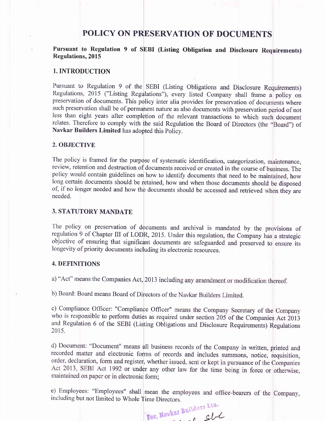# POLICY ON PRESERVATION OF DOCUMENTS

## Pursuant to Regulation 9 of SEBI (Listing Obligation and Disclosure Requirements) Regulations, 2015

#### 1. INTRODUCTION

Pursuant to Regulation 9 of the SEBI (Listing Obligations and Disclosure Requirements) Regulations, 2015 ("Listing Regulations"), every listed Company shall frame a policy on less than eight years after completion of the relevant transactions to which such document relates. Therefore to comply with the said Regulation the Board of Directors (the "Board") of Navkar Builders Limited has adopted this policy. preservation of documents. This policy inter alia provides for preservation of documents where such preservation shall be of permanent nature as also documents with preservation period of not

#### 2. OBJECTIVE

The policy is framed for the purpose of systematic identification, categorization, maintenance, review, retention and destruction of documents received or created in the course of business. The policy would contain guidelines on how to identify documents that need to be maintained, how long certain documents should be retained, how and when those documents should be disposed of, if no longer needed and how the documents should be accessed and retrieved when they are needed.

#### 3. STATUTORY MANDATB

The policy on preservation of documents and archival is mandated by the provisions of regulation 9 of Chapter III of LODR, 2015. Under this regulation, the Company has a strategic objective of ensuring that significant documents are safeguarded and preserved to ensure its longevity of priority documents including its electronic resources.

#### 4. DEFINITIONS

a) "Act" means the Companies Act, 2013 including any amendment or modification thereof.

b) Board: Board means Board of Directors of the Navkar Builders Limited.

c) Compliance Officer: "Compliance Officer" means the Company Secretary of the Company who is responsible to perform duties as required under section 205 of the Companies Act 2013<br>and Regulation 6 of the SEBI (Listing Obligations and Disclosure Requirements) Regulations<br>2015. who is responsible to perform duties as required under section 205 of the Companies Act 2013

d) Document: "Document" means all business records of the Company in written, printed and recorded matter and electronic forms of records and includes summons, notice, requisition, order, declaration, form and register, whether issued, sent or kept in pursuance of the Companies Act 2013, SEBI Act 1992 or under any other law for the time being in force or otherwise, maintained on paper or in electronic form;

e) Employees: "Employees" shall mean the employees and office-bearers of the Company, including but not limited to Whole Time Directors.

For, Navkar Builders Ltu.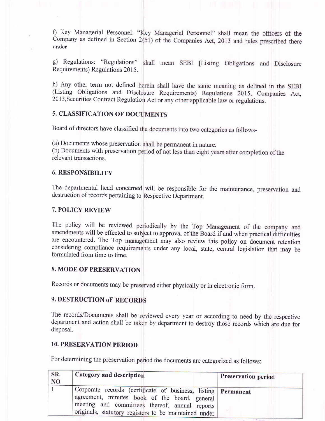f) Key Managerial Personnel: "Key Managerial Personnel" shall mean the officers of the Company as defined in Section  $2(51)$  of the Companies Act, 2013 and rules prescribed there under

g) Regulations: "Regulations" shall mean SEBI [Listing Obligations and Disclosure Requirements) Regulations 2015.

h) Any other term not defined herein shall have the same meaning as defined in the SEBI (Listing Obligations and Disclosure Requirements) Regulations 2015, Companies Act, 2013, Securities Contract Regulation Act or any other applicable law or regulations.

#### 5. CLASSIFICATION OF DOC

Board of directors have classified the documents into two categories as follows-

(a) Documents whose preservation

(b) Documents with preservation period of not less than eight years after completion of the relevant transactions.

#### 6. RESPONSIBILITY

The departmental head concerned will be responsible for the maintenance, preservation and destruction of records pertaining to Respective Department.

#### 7. POLICY REVIEW

The policy will be reviewed periodically by the Top Management of the company and amendments will be effected to subject to approval of the Board if and when practical difficulties are encountered. The Top management may also review this policy on document retention considering compliance requirements under any local, state, central legislation that may be formulated from time to time.

## 8. MODE OF PRESERVATION

Records or documents may be preserved either physically or in electronic form.

# 9. DESTRUCTION oF

department and action shall be taken by department to destroy those records which are due for disposal. The records/Documents shall be reviewed every year or according to need by the respective

# 10. PRESERVATION PERIOD

For determining the preservation period the documents are categorized as follows:

| SR.<br>NO. | <b>Category and description</b>                                                                                                                                                                                           | <b>Preservation period</b> |
|------------|---------------------------------------------------------------------------------------------------------------------------------------------------------------------------------------------------------------------------|----------------------------|
|            | Corporate records (certificate of business, listing Permanent<br>agreement, minutes book of the board, general<br>meeting and committees thereof, annual reports<br>originals, statutory registers to be maintained under |                            |